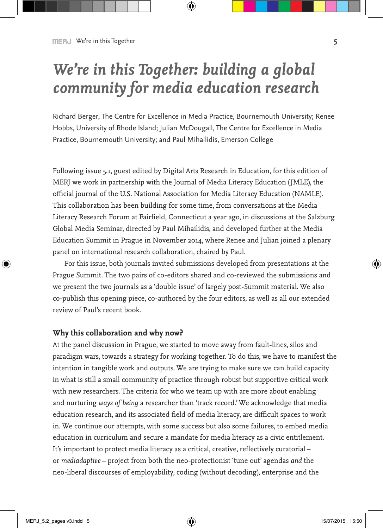# *We're in this Together: building a global community for media education research*

Richard Berger, The Centre for Excellence in Media Practice, Bournemouth University; Renee Hobbs, University of Rhode Island; Julian McDougall, The Centre for Excellence in Media Practice, Bournemouth University; and Paul Mihailidis, Emerson College

Following issue 5.1, guest edited by Digital Arts Research in Education, for this edition of MERJ we work in partnership with the Journal of Media Literacy Education (JMLE), the official journal of the U.S. National Association for Media Literacy Education (NAMLE). This collaboration has been building for some time, from conversations at the Media Literacy Research Forum at Fairfield, Connecticut a year ago, in discussions at the Salzburg Global Media Seminar, directed by Paul Mihailidis, and developed further at the Media Education Summit in Prague in November 2014, where Renee and Julian joined a plenary panel on international research collaboration, chaired by Paul.

For this issue, both journals invited submissions developed from presentations at the Prague Summit. The two pairs of co-editors shared and co-reviewed the submissions and we present the two journals as a 'double issue' of largely post-Summit material. We also co-publish this opening piece, co-authored by the four editors, as well as all our extended review of Paul's recent book.

### **Why this collaboration and why now?**

At the panel discussion in Prague, we started to move away from fault-lines, silos and paradigm wars, towards a strategy for working together. To do this, we have to manifest the intention in tangible work and outputs. We are trying to make sure we can build capacity in what is still a small community of practice through robust but supportive critical work with new researchers. The criteria for who we team up with are more about enabling and nurturing *ways of being* a researcher than 'track record.' We acknowledge that media education research, and its associated field of media literacy, are difficult spaces to work in. We continue our attempts, with some success but also some failures, to embed media education in curriculum and secure a mandate for media literacy as a civic entitlement. It's important to protect media literacy as a critical, creative, reflectively curatorial – or *mediadaptive* – project from both the neo-protectionist 'tune out' agendas *and* the neo-liberal discourses of employability, coding (without decoding), enterprise and the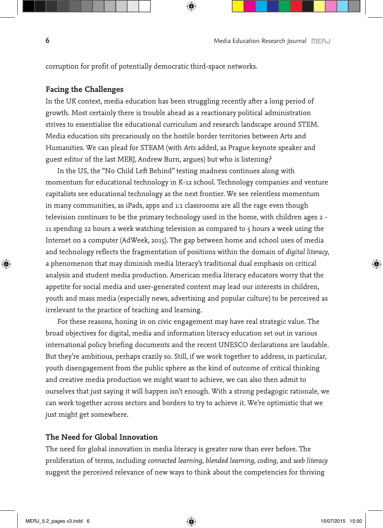corruption for profit of potentially democratic third-space networks.

## **Facing the Challenges**

In the UK context, media education has been struggling recently after a long period of growth. Most certainly there is trouble ahead as a reactionary political administration strives to essentialise the educational curriculum and research landscape around STEM. Media education sits precariously on the hostile border territories between Arts and Humanities. We can plead for STEAM (with *Arts* added, as Prague keynote speaker and guest editor of the last MERJ, Andrew Burn, argues) but who is listening?

In the US, the "No Child Left Behind" testing madness continues along with momentum for educational technology in K-12 school. Technology companies and venture capitalists see educational technology as the next frontier. We see relentless momentum in many communities, as iPads, apps and 1:1 classrooms are all the rage even though television continues to be the primary technology used in the home, with children ages 2 - 11 spending 22 hours a week watching television as compared to 5 hours a week using the Internet on a computer (AdWeek, 2015). The gap between home and school uses of media and technology reflects the fragmentation of positions within the domain of *digital literacy*, a phenomenon that may diminish media literacy's traditional dual emphasis on critical analysis and student media production. American media literacy educators worry that the appetite for social media and user-generated content may lead our interests in children, youth and mass media (especially news, advertising and popular culture) to be perceived as irrelevant to the practice of teaching and learning.

For these reasons, honing in on civic engagement may have real strategic value. The broad objectives for digital, media and information literacy education set out in various international policy briefing documents and the recent UNESCO declarations are laudable. But they're ambitious, perhaps crazily so. Still, if we work together to address, in particular, youth disengagement from the public sphere as the kind of outcome of critical thinking and creative media production we might want to achieve, we can also then admit to ourselves that just saying it will happen isn't enough. With a strong pedagogic rationale, we can work together across sectors and borders to try to achieve it. We're optimistic that we just might get somewhere.

### **The Need for Global Innovation**

The need for global innovation in media literacy is greater now than ever before. The proliferation of terms, including *connected learning*, *blended learning*, *coding*, and *web literacy* suggest the perceived relevance of new ways to think about the competencies for thriving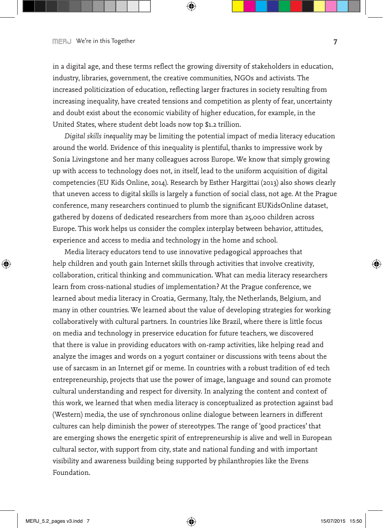in a digital age, and these terms reflect the growing diversity of stakeholders in education, industry, libraries, government, the creative communities, NGOs and activists. The increased politicization of education, reflecting larger fractures in society resulting from increasing inequality, have created tensions and competition as plenty of fear, uncertainty and doubt exist about the economic viability of higher education, for example, in the United States, where student debt loads now top \$1.2 trillion.

*Digital skills inequality* may be limiting the potential impact of media literacy education around the world. Evidence of this inequality is plentiful, thanks to impressive work by Sonia Livingstone and her many colleagues across Europe. We know that simply growing up with access to technology does not, in itself, lead to the uniform acquisition of digital competencies (EU Kids Online, 2014). Research by Esther Hargittai (2013) also shows clearly that uneven access to digital skills is largely a function of social class, not age. At the Prague conference, many researchers continued to plumb the significant EUKidsOnline dataset, gathered by dozens of dedicated researchers from more than 25,000 children across Europe. This work helps us consider the complex interplay between behavior, attitudes, experience and access to media and technology in the home and school.

Media literacy educators tend to use innovative pedagogical approaches that help children and youth gain Internet skills through activities that involve creativity, collaboration, critical thinking and communication. What can media literacy researchers learn from cross-national studies of implementation? At the Prague conference, we learned about media literacy in Croatia, Germany, Italy, the Netherlands, Belgium, and many in other countries. We learned about the value of developing strategies for working collaboratively with cultural partners. In countries like Brazil, where there is little focus on media and technology in preservice education for future teachers, we discovered that there is value in providing educators with on-ramp activities, like helping read and analyze the images and words on a yogurt container or discussions with teens about the use of sarcasm in an Internet gif or meme. In countries with a robust tradition of ed tech entrepreneurship, projects that use the power of image, language and sound can promote cultural understanding and respect for diversity. In analyzing the content and context of this work, we learned that when media literacy is conceptualized as protection against bad (Western) media, the use of synchronous online dialogue between learners in different cultures can help diminish the power of stereotypes. The range of 'good practices' that are emerging shows the energetic spirit of entrepreneurship is alive and well in European cultural sector, with support from city, state and national funding and with important visibility and awareness building being supported by philanthropies like the Evens Foundation.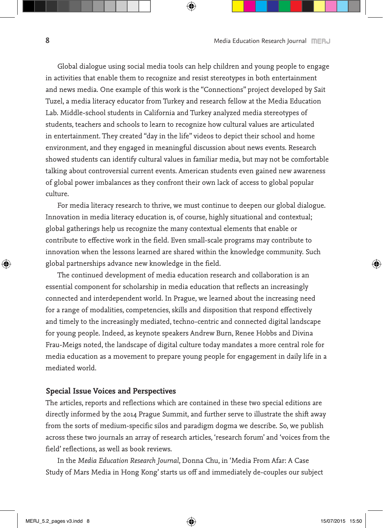Global dialogue using social media tools can help children and young people to engage in activities that enable them to recognize and resist stereotypes in both entertainment and news media. One example of this work is the "Connections" project developed by Sait Tuzel, a media literacy educator from Turkey and research fellow at the Media Education Lab. Middle-school students in California and Turkey analyzed media stereotypes of students, teachers and schools to learn to recognize how cultural values are articulated in entertainment. They created "day in the life" videos to depict their school and home environment, and they engaged in meaningful discussion about news events. Research showed students can identify cultural values in familiar media, but may not be comfortable talking about controversial current events. American students even gained new awareness of global power imbalances as they confront their own lack of access to global popular culture.

For media literacy research to thrive, we must continue to deepen our global dialogue. Innovation in media literacy education is, of course, highly situational and contextual; global gatherings help us recognize the many contextual elements that enable or contribute to effective work in the field. Even small-scale programs may contribute to innovation when the lessons learned are shared within the knowledge community. Such global partnerships advance new knowledge in the field.

The continued development of media education research and collaboration is an essential component for scholarship in media education that reflects an increasingly connected and interdependent world. In Prague, we learned about the increasing need for a range of modalities, competencies, skills and disposition that respond effectively and timely to the increasingly mediated, techno-centric and connected digital landscape for young people. Indeed, as keynote speakers Andrew Burn, Renee Hobbs and Divina Frau-Meigs noted, the landscape of digital culture today mandates a more central role for media education as a movement to prepare young people for engagement in daily life in a mediated world.

### **Special Issue Voices and Perspectives**

The articles, reports and reflections which are contained in these two special editions are directly informed by the 2014 Prague Summit, and further serve to illustrate the shift away from the sorts of medium-specific silos and paradigm dogma we describe. So, we publish across these two journals an array of research articles, 'research forum' and 'voices from the field' reflections, as well as book reviews.

In the *Media Education Research Journal*, Donna Chu, in 'Media From Afar: A Case Study of Mars Media in Hong Kong' starts us off and immediately de-couples our subject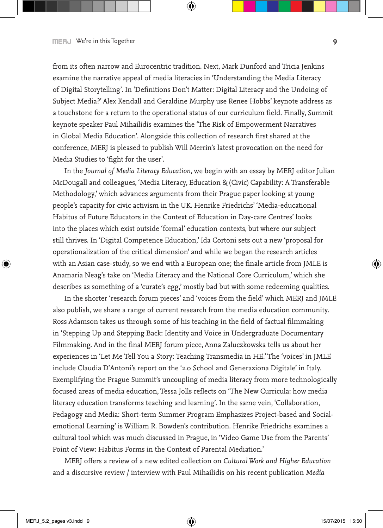from its often narrow and Eurocentric tradition. Next, Mark Dunford and Tricia Jenkins examine the narrative appeal of media literacies in 'Understanding the Media Literacy of Digital Storytelling'. In 'Definitions Don't Matter: Digital Literacy and the Undoing of Subject Media?' Alex Kendall and Geraldine Murphy use Renee Hobbs' keynote address as a touchstone for a return to the operational status of our curriculum field. Finally, Summit keynote speaker Paul Mihailidis examines the 'The Risk of Empowerment Narratives in Global Media Education'. Alongside this collection of research first shared at the conference, MERJ is pleased to publish Will Merrin's latest provocation on the need for Media Studies to 'fight for the user'.

In the *Journal of Media Literacy Education*, we begin with an essay by MERJ editor Julian McDougall and colleagues, 'Media Literacy, Education & (Civic) Capability: A Transferable Methodology,' which advances arguments from their Prague paper looking at young people's capacity for civic activism in the UK. Henrike Friedrichs' 'Media-educational Habitus of Future Educators in the Context of Education in Day-care Centres' looks into the places which exist outside 'formal' education contexts, but where our subject still thrives. In 'Digital Competence Education,' Ida Cortoni sets out a new 'proposal for operationalization of the critical dimension' and while we began the research articles with an Asian case-study, so we end with a European one; the finale article from JMLE is Anamaria Neag's take on 'Media Literacy and the National Core Curriculum,' which she describes as something of a 'curate's egg,' mostly bad but with some redeeming qualities.

In the shorter 'research forum pieces' and 'voices from the field' which MERJ and JMLE also publish, we share a range of current research from the media education community. Ross Adamson takes us through some of his teaching in the field of factual filmmaking in 'Stepping Up and Stepping Back: Identity and Voice in Undergraduate Documentary Filmmaking. And in the final MERJ forum piece, Anna Zaluczkowska tells us about her experiences in 'Let Me Tell You a Story: Teaching Transmedia in HE.' The 'voices' in JMLE include Claudia D'Antoni's report on the '2.0 School and Generaziona Digitale' in Italy. Exemplifying the Prague Summit's uncoupling of media literacy from more technologically focused areas of media education, Tessa Jolls reflects on 'The New Curricula: how media literacy education transforms teaching and learning'. In the same vein, 'Collaboration, Pedagogy and Media: Short-term Summer Program Emphasizes Project-based and Socialemotional Learning' is William R. Bowden's contribution. Henrike Friedrichs examines a cultural tool which was much discussed in Prague, in 'Video Game Use from the Parents' Point of View: Habitus Forms in the Context of Parental Mediation.'

MERJ offers a review of a new edited collection on *Cultural Work and Higher Education* and a discursive review / interview with Paul Mihailidis on his recent publication *Media*